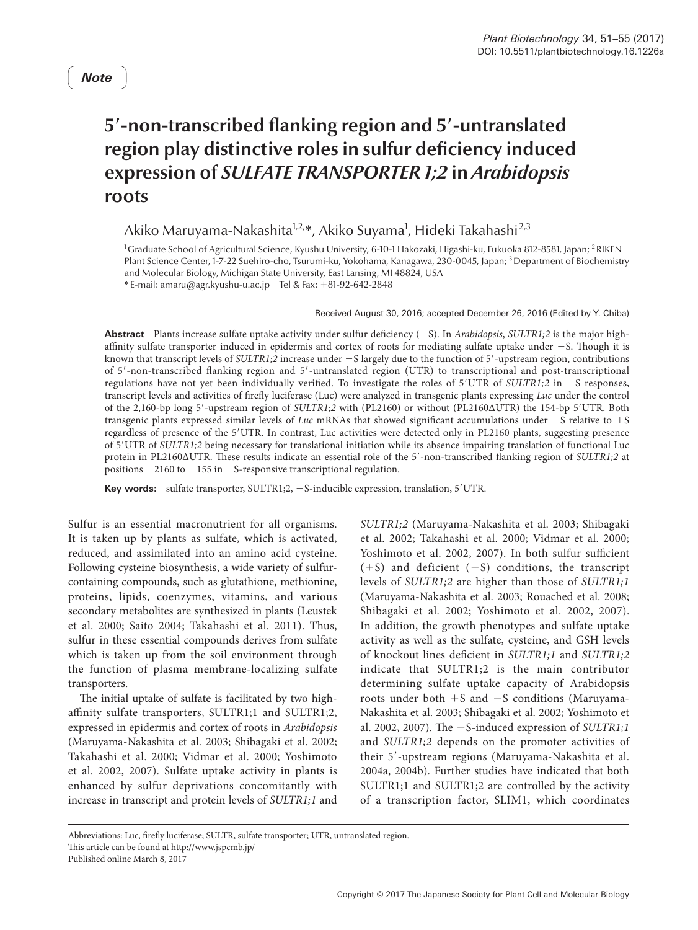# **5**′**-non-transcribed flanking region and 5**′**-untranslated region play distinctive roles in sulfur deficiency induced expression of** *SULFATE TRANSPORTER 1;2* **in** *Arabidopsis* **roots**

Akiko Maruyama-Nakashita<sup>1,2,</sup>\*, Akiko Suyama<sup>1</sup>, Hideki Takahashi<sup>2,3</sup>

<sup>1</sup>Graduate School of Agricultural Science, Kyushu University, 6-10-1 Hakozaki, Higashi-ku, Fukuoka 812-8581, Japan; <sup>2</sup>RIKEN Plant Science Center, 1-7-22 Suehiro-cho, Tsurumi-ku, Yokohama, Kanagawa, 230-0045, Japan; <sup>3</sup> Department of Biochemistry and Molecular Biology, Michigan State University, East Lansing, MI 48824, USA

\*E-mail: amaru@agr.kyushu-u.ac.jp Tel & Fax: +81-92-642-2848

Received August 30, 2016; accepted December 26, 2016 (Edited by Y. Chiba)

**Abstract** Plants increase sulfate uptake activity under sulfur deficiency (−S). In *Arabidopsis*, *SULTR1;2* is the major highaffinity sulfate transporter induced in epidermis and cortex of roots for mediating sulfate uptake under −S. Though it is known that transcript levels of *SULTR1;2* increase under −S largely due to the function of 5′-upstream region, contributions of 5′-non-transcribed flanking region and 5′-untranslated region (UTR) to transcriptional and post-transcriptional regulations have not yet been individually verified. To investigate the roles of 5′UTR of *SULTR1;2* in −S responses, transcript levels and activities of firefly luciferase (Luc) were analyzed in transgenic plants expressing *Luc* under the control of the 2,160-bp long 5′-upstream region of *SULTR1;2* with (PL2160) or without (PL2160ΔUTR) the 154-bp 5′UTR. Both transgenic plants expressed similar levels of *Luc* mRNAs that showed significant accumulations under −S relative to +S regardless of presence of the 5′UTR. In contrast, Luc activities were detected only in PL2160 plants, suggesting presence of 5′UTR of *SULTR1;2* being necessary for translational initiation while its absence impairing translation of functional Luc protein in PL2160ΔUTR. These results indicate an essential role of the 5′-non-transcribed flanking region of *SULTR1;2* at positions −2160 to −155 in −S-responsive transcriptional regulation.

**Key words:** sulfate transporter, SULTR1;2, −S-inducible expression, translation, 5′UTR.

Sulfur is an essential macronutrient for all organisms. It is taken up by plants as sulfate, which is activated, reduced, and assimilated into an amino acid cysteine. Following cysteine biosynthesis, a wide variety of sulfurcontaining compounds, such as glutathione, methionine, proteins, lipids, coenzymes, vitamins, and various secondary metabolites are synthesized in plants (Leustek et al. 2000; Saito 2004; Takahashi et al. 2011). Thus, sulfur in these essential compounds derives from sulfate which is taken up from the soil environment through the function of plasma membrane-localizing sulfate transporters.

The initial uptake of sulfate is facilitated by two highaffinity sulfate transporters, SULTR1;1 and SULTR1;2, expressed in epidermis and cortex of roots in *Arabidopsis* (Maruyama-Nakashita et al. 2003; Shibagaki et al. 2002; Takahashi et al. 2000; Vidmar et al. 2000; Yoshimoto et al. 2002, 2007). Sulfate uptake activity in plants is enhanced by sulfur deprivations concomitantly with increase in transcript and protein levels of *SULTR1;1* and *SULTR1;2* (Maruyama-Nakashita et al. 2003; Shibagaki et al. 2002; Takahashi et al. 2000; Vidmar et al. 2000; Yoshimoto et al. 2002, 2007). In both sulfur sufficient (+S) and deficient (−S) conditions, the transcript levels of *SULTR1;2* are higher than those of *SULTR1;1* (Maruyama-Nakashita et al. 2003; Rouached et al. 2008; Shibagaki et al. 2002; Yoshimoto et al. 2002, 2007). In addition, the growth phenotypes and sulfate uptake activity as well as the sulfate, cysteine, and GSH levels of knockout lines deficient in *SULTR1;1* and *SULTR1;2* indicate that SULTR1;2 is the main contributor determining sulfate uptake capacity of Arabidopsis roots under both +S and −S conditions (Maruyama-Nakashita et al. 2003; Shibagaki et al. 2002; Yoshimoto et al. 2002, 2007). The −S-induced expression of *SULTR1;1* and *SULTR1;2* depends on the promoter activities of their 5′-upstream regions (Maruyama-Nakashita et al. 2004a, 2004b). Further studies have indicated that both SULTR1;1 and SULTR1;2 are controlled by the activity of a transcription factor, SLIM1, which coordinates

Abbreviations: Luc, firefly luciferase; SULTR, sulfate transporter; UTR, untranslated region. This article can be found at http://www.jspcmb.jp/ Published online March 8, 2017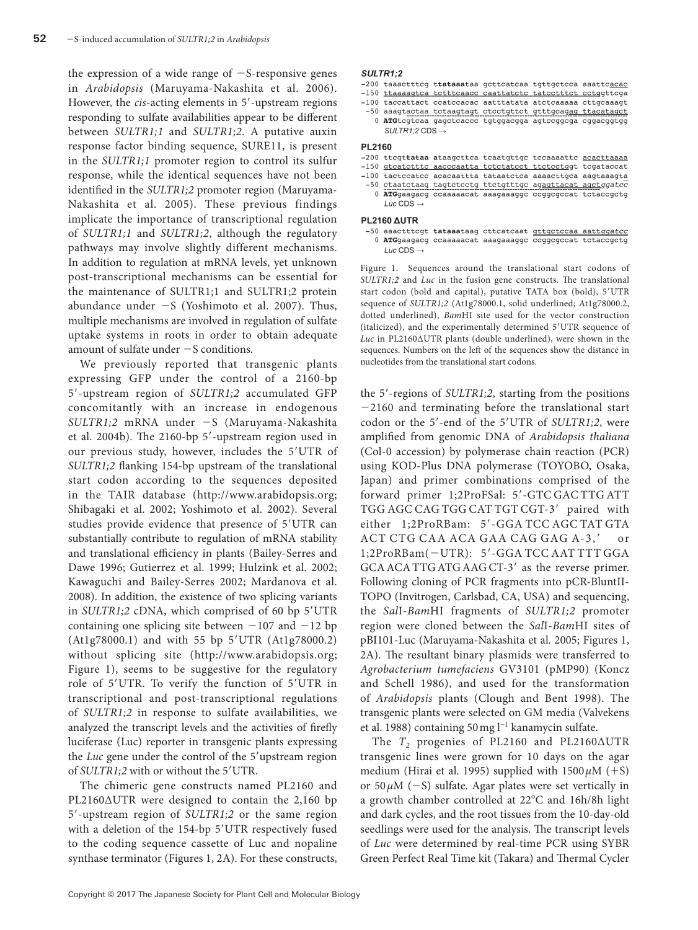the expression of a wide range of −S-responsive genes in *Arabidopsis* (Maruyama-Nakashita et al. 2006). However, the *cis*-acting elements in 5′-upstream regions responding to sulfate availabilities appear to be different between *SULTR1;1* and *SULTR1;2*. A putative auxin response factor binding sequence, SURE11, is present in the *SULTR1;1* promoter region to control its sulfur response, while the identical sequences have not been identified in the *SULTR1;2* promoter region (Maruyama-Nakashita et al. 2005). These previous findings implicate the importance of transcriptional regulation of *SULTR1;1* and *SULTR1;2*, although the regulatory pathways may involve slightly different mechanisms. In addition to regulation at mRNA levels, yet unknown post-transcriptional mechanisms can be essential for the maintenance of SULTR1;1 and SULTR1;2 protein abundance under  $-S$  (Yoshimoto et al. 2007). Thus, multiple mechanisms are involved in regulation of sulfate uptake systems in roots in order to obtain adequate amount of sulfate under −S conditions.

We previously reported that transgenic plants expressing GFP under the control of a 2160-bp 5′-upstream region of *SULTR1;2* accumulated GFP concomitantly with an increase in endogenous *SULTR1;2* mRNA under −S (Maruyama-Nakashita et al. 2004b). The 2160-bp 5′-upstream region used in our previous study, however, includes the 5′UTR of *SULTR1;2* flanking 154-bp upstream of the translational start codon according to the sequences deposited in the TAIR database (http://www.arabidopsis.org; Shibagaki et al. 2002; Yoshimoto et al. 2002). Several studies provide evidence that presence of 5′UTR can substantially contribute to regulation of mRNA stability and translational efficiency in plants (Bailey-Serres and Dawe 1996; Gutierrez et al. 1999; Hulzink et al. 2002; Kawaguchi and Bailey-Serres 2002; Mardanova et al. 2008). In addition, the existence of two splicing variants in *SULTR1;2* cDNA, which comprised of 60 bp 5′UTR containing one splicing site between −107 and −12 bp (At1g78000.1) and with 55 bp 5′UTR (At1g78000.2) without splicing site (http://www.arabidopsis.org; Figure 1), seems to be suggestive for the regulatory role of 5′UTR. To verify the function of 5′UTR in transcriptional and post-transcriptional regulations of *SULTR1;2* in response to sulfate availabilities, we analyzed the transcript levels and the activities of firefly luciferase (Luc) reporter in transgenic plants expressing the *Luc* gene under the control of the 5′upstream region of *SULTR1;2* with or without the 5′UTR.

The chimeric gene constructs named PL2160 and PL2160ΔUTR were designed to contain the 2,160 bp 5′-upstream region of *SULTR1;2* or the same region with a deletion of the 154-bp 5′UTR respectively fused to the coding sequence cassette of Luc and nopaline synthase terminator (Figures 1, 2A). For these constructs,

### SULTR1:2

-200 taaactttcg ttataaataa gettcatcaa tgttgeteca aaatteacac

- -150 ttaaaagtca tetttcaacc caattatete tateetttet eetggttega
- -100 taccattact ccatccacac aatttatata atctcaaaaa cttgcaaagt
- -50 aaagtactaa tctaagtagt ctcctgttct gtttgcagag ttacatagct 0 ATGtcgtcaa gagctcaccc tgtggacgga agtccggcga cggacggtgg SULTR1;2 CDS  $\rightarrow$

#### PL2160

- -200 ttcgttataa ataagcttca tcaatgttgc tccaaaattc acacttaaaa
- -150 gtcatctttc aacccaatta tctctatcct ttctcctggt tcgataccat
- -50 ctaatctaag tagtctcctg ttctgtttgc agagttacat agctggatcc
- 0 ATGgaagacg ccaaaaacat aaagaaaggc ccggcgccat tctaccgctg Luc CDS  $\rightarrow$

#### PL2160 AUTR

-50 aaactttcgt tataaataag cttcatcaat **gttgctccaa aattggatcc** 0 ATGgaagacg ccaaaaacat aaagaaaggc ccggcgccat tctaccgctg Luc CDS  $\rightarrow$ 

Figure 1. Sequences around the translational start codons of *SULTR1;2* and *Luc* in the fusion gene constructs. The translational start codon (bold and capital), putative TATA box (bold), 5′UTR sequence of *SULTR1;2* (At1g78000.1, solid underlined; At1g78000.2, dotted underlined), *Bam*HI site used for the vector construction (italicized), and the experimentally determined 5′UTR sequence of *Luc* in PL2160ΔUTR plants (double underlined), were shown in the sequences. Numbers on the left of the sequences show the distance in nucleotides from the translational start codons.

the 5′-regions of *SULTR1;2*, starting from the positions −2160 and terminating before the translational start codon or the 5′-end of the 5′UTR of *SULTR1;2*, were amplified from genomic DNA of *Arabidopsis thaliana* (Col-0 accession) by polymerase chain reaction (PCR) using KOD-Plus DNA polymerase (TOYOBO, Osaka, Japan) and primer combinations comprised of the forward primer 1;2ProFSal: 5′-GTC GAC TTG ATT TGG AGC CAG TGG CAT TGT CGT-3′ paired with either 1;2ProRBam: 5′-GGA TCC AGC TAT GTA ACT CTG CAA ACA GAA CAG GAG A-3,′ or 1;2ProRBam(−UTR): 5′-GGA TCC AAT TTT GGA GCAACATTG ATG AAG CT-3′ as the reverse primer. Following cloning of PCR fragments into pCR-BluntII-TOPO (Invitrogen, Carlsbad, CA, USA) and sequencing, the *Sal*I-*Bam*HI fragments of *SULTR1;2* promoter region were cloned between the *Sal*I-*Bam*HI sites of pBI101-Luc (Maruyama-Nakashita et al. 2005; Figures 1, 2A). The resultant binary plasmids were transferred to *Agrobacterium tumefaciens* GV3101 (pMP90) (Koncz and Schell 1986), and used for the transformation of *Arabidopsis* plants (Clough and Bent 1998). The transgenic plants were selected on GM media (Valvekens et al. 1988) containing 50mg l−1 kanamycin sulfate.

The  $T_2$  progenies of PL2160 and PL2160 $\triangle$ UTR transgenic lines were grown for 10 days on the agar medium (Hirai et al. 1995) supplied with  $1500 \mu M$  (+S) or 50*µ*M (−S) sulfate. Agar plates were set vertically in a growth chamber controlled at 22°C and 16h/8h light and dark cycles, and the root tissues from the 10-day-old seedlings were used for the analysis. The transcript levels of *Luc* were determined by real-time PCR using SYBR Green Perfect Real Time kit (Takara) and Thermal Cycler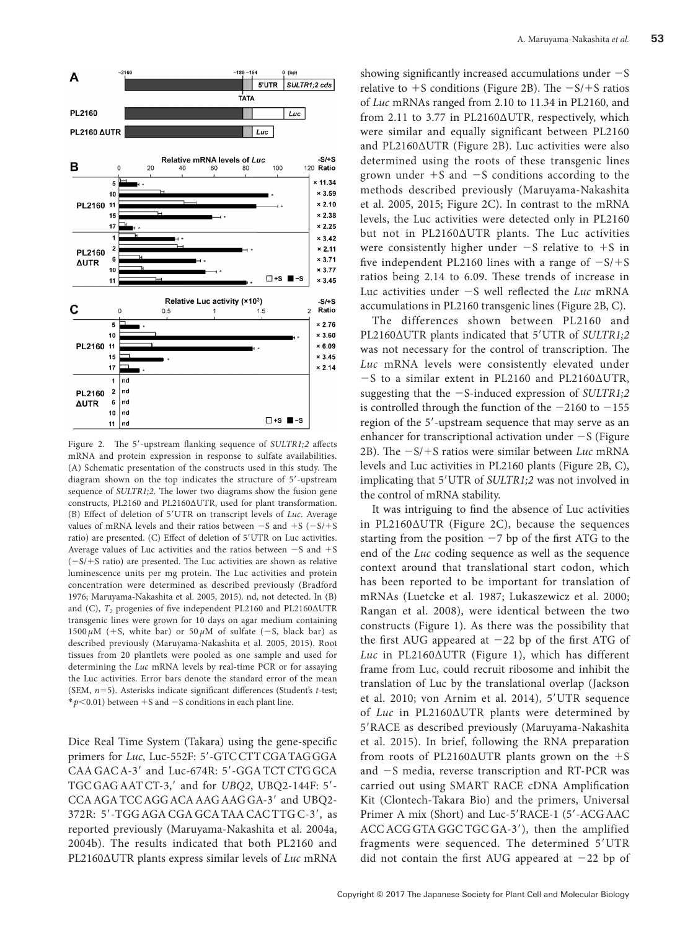

Figure 2. The 5′-upstream flanking sequence of *SULTR1;2* affects mRNA and protein expression in response to sulfate availabilities. (A) Schematic presentation of the constructs used in this study. The diagram shown on the top indicates the structure of 5′-upstream sequence of *SULTR1;2*. The lower two diagrams show the fusion gene constructs, PL2160 and PL2160ΔUTR, used for plant transformation. (B) Effect of deletion of 5′UTR on transcript levels of *Luc*. Average values of mRNA levels and their ratios between −S and +S (−S/+S ratio) are presented. (C) Effect of deletion of 5′UTR on Luc activities. Average values of Luc activities and the ratios between −S and +S (−S/+S ratio) are presented. The Luc activities are shown as relative luminescence units per mg protein. The Luc activities and protein concentration were determined as described previously (Bradford 1976; Maruyama-Nakashita et al. 2005, 2015). nd, not detected. In (B) and (C),  $T_2$  progenies of five independent PL2160 and PL2160ΔUTR transgenic lines were grown for 10 days on agar medium containing 1500  $\mu$ M (+S, white bar) or 50  $\mu$ M of sulfate (-S, black bar) as described previously (Maruyama-Nakashita et al. 2005, 2015). Root tissues from 20 plantlets were pooled as one sample and used for determining the *Luc* mRNA levels by real-time PCR or for assaying the Luc activities. Error bars denote the standard error of the mean (SEM, *n*=5). Asterisks indicate significant differences (Student's *t*-test; \**p*<0.01) between +S and −S conditions in each plant line.

Dice Real Time System (Takara) using the gene-specific primers for *Luc*, Luc-552F: 5′-GTCCTTCGATAGGGA CAA GAC A-3' and Luc-674R: 5'-GGA TCT CTG GCA TGC GAG AATCT-3,′ and for *UBQ2*, UBQ2-144F: 5′- CCAAGATCCAGGACAAAGAAGGA-3′ and UBQ2- 372R: 5′-TGG AGACGA GCATAACACTTG C-3′, as reported previously (Maruyama-Nakashita et al. 2004a, 2004b). The results indicated that both PL2160 and PL2160ΔUTR plants express similar levels of *Luc* mRNA

showing significantly increased accumulations under −S relative to  $+$ S conditions (Figure 2B). The  $-S/+S$  ratios of *Luc* mRNAs ranged from 2.10 to 11.34 in PL2160, and from 2.11 to 3.77 in PL2160ΔUTR, respectively, which were similar and equally significant between PL2160 and PL2160ΔUTR (Figure 2B). Luc activities were also determined using the roots of these transgenic lines grown under  $+$ S and  $-$ S conditions according to the methods described previously (Maruyama-Nakashita et al. 2005, 2015; Figure 2C). In contrast to the mRNA levels, the Luc activities were detected only in PL2160 but not in PL2160ΔUTR plants. The Luc activities were consistently higher under −S relative to +S in five independent PL2160 lines with a range of  $-S/+S$ ratios being 2.14 to 6.09. These trends of increase in Luc activities under −S well reflected the *Luc* mRNA accumulations in PL2160 transgenic lines (Figure 2B, C).

The differences shown between PL2160 and PL2160ΔUTR plants indicated that 5′UTR of *SULTR1;2* was not necessary for the control of transcription. The *Luc* mRNA levels were consistently elevated under −S to a similar extent in PL2160 and PL2160ΔUTR, suggesting that the −S-induced expression of *SULTR1;2* is controlled through the function of the −2160 to −155 region of the 5′-upstream sequence that may serve as an enhancer for transcriptional activation under −S (Figure 2B). The −S/+S ratios were similar between *Luc* mRNA levels and Luc activities in PL2160 plants (Figure 2B, C), implicating that 5′UTR of *SULTR1;2* was not involved in the control of mRNA stability.

It was intriguing to find the absence of Luc activities in PL2160ΔUTR (Figure 2C), because the sequences starting from the position  $-7$  bp of the first ATG to the end of the *Luc* coding sequence as well as the sequence context around that translational start codon, which has been reported to be important for translation of mRNAs (Luetcke et al. 1987; Lukaszewicz et al. 2000; Rangan et al. 2008), were identical between the two constructs (Figure 1). As there was the possibility that the first AUG appeared at −22 bp of the first ATG of *Luc* in PL2160ΔUTR (Figure 1), which has different frame from Luc, could recruit ribosome and inhibit the translation of Luc by the translational overlap (Jackson et al. 2010; von Arnim et al. 2014), 5′UTR sequence of *Luc* in PL2160ΔUTR plants were determined by 5′RACE as described previously (Maruyama-Nakashita et al. 2015). In brief, following the RNA preparation from roots of PL2160 $\triangle$ UTR plants grown on the +S and −S media, reverse transcription and RT-PCR was carried out using SMART RACE cDNA Amplification Kit (Clontech-Takara Bio) and the primers, Universal Primer A mix (Short) and Luc-5′RACE-1 (5′-ACGAAC ACCACG GTA GGC TGC GA-3′), then the amplified fragments were sequenced. The determined 5′UTR did not contain the first AUG appeared at −22 bp of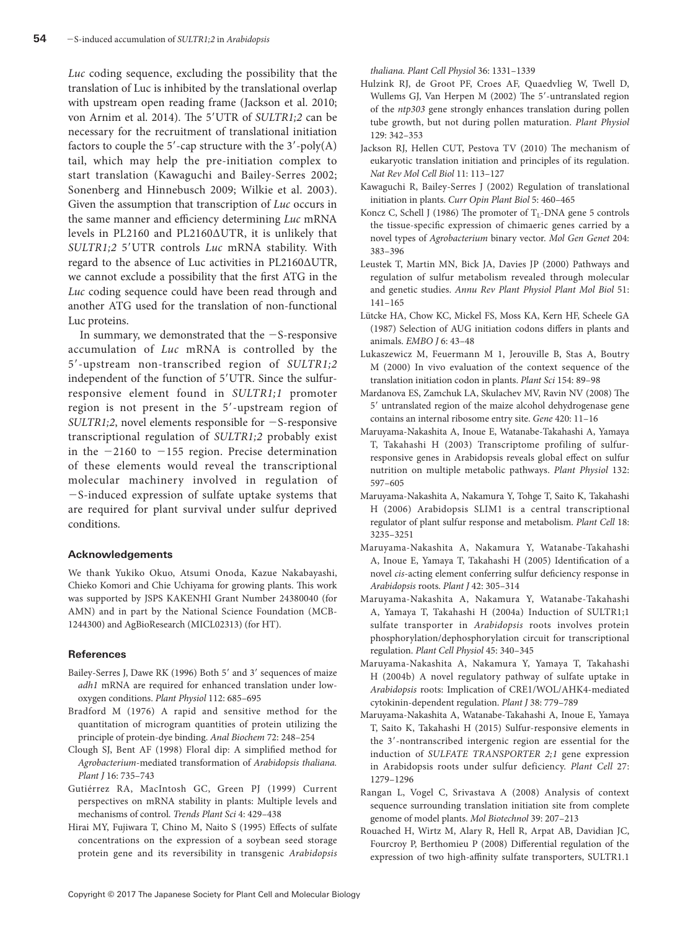*Luc* coding sequence, excluding the possibility that the translation of Luc is inhibited by the translational overlap with upstream open reading frame (Jackson et al. 2010; von Arnim et al. 2014). The 5′UTR of *SULTR1;2* can be necessary for the recruitment of translational initiation factors to couple the  $5'$ -cap structure with the  $3'$ -poly(A) tail, which may help the pre-initiation complex to start translation (Kawaguchi and Bailey-Serres 2002; Sonenberg and Hinnebusch 2009; Wilkie et al. 2003). Given the assumption that transcription of *Luc* occurs in the same manner and efficiency determining *Luc* mRNA levels in PL2160 and PL2160ΔUTR, it is unlikely that *SULTR1;2* 5′UTR controls *Luc* mRNA stability. With regard to the absence of Luc activities in PL2160ΔUTR, we cannot exclude a possibility that the first ATG in the *Luc* coding sequence could have been read through and another ATG used for the translation of non-functional Luc proteins.

In summary, we demonstrated that the −S-responsive accumulation of *Luc* mRNA is controlled by the 5′-upstream non-transcribed region of *SULTR1;2* independent of the function of 5′UTR. Since the sulfurresponsive element found in *SULTR1;1* promoter region is not present in the 5′-upstream region of *SULTR1;2*, novel elements responsible for −S-responsive transcriptional regulation of *SULTR1;2* probably exist in the −2160 to −155 region. Precise determination of these elements would reveal the transcriptional molecular machinery involved in regulation of −S-induced expression of sulfate uptake systems that are required for plant survival under sulfur deprived conditions.

## **Acknowledgements**

We thank Yukiko Okuo, Atsumi Onoda, Kazue Nakabayashi, Chieko Komori and Chie Uchiyama for growing plants. This work was supported by JSPS KAKENHI Grant Number 24380040 (for AMN) and in part by the National Science Foundation (MCB-1244300) and AgBioResearch (MICL02313) (for HT).

## **References**

- [Bailey-Serres J, Dawe RK \(1996\) Both 5](http://dx.doi.org/10.1104/pp.112.2.685)′ and 3′ sequences of maize *adh1* [mRNA are required for enhanced translation under low](http://dx.doi.org/10.1104/pp.112.2.685)[oxygen conditions.](http://dx.doi.org/10.1104/pp.112.2.685) *Plant Physiol* 112: 685–695
- [Bradford M \(1976\) A rapid and sensitive method for the](http://dx.doi.org/10.1016/0003-2697(76)90527-3)  [quantitation of microgram quantities of protein utilizing the](http://dx.doi.org/10.1016/0003-2697(76)90527-3)  [principle of protein-dye binding.](http://dx.doi.org/10.1016/0003-2697(76)90527-3) *Anal Biochem* 72: 248–254
- [Clough SJ, Bent AF \(1998\) Floral dip: A simplified method for](http://dx.doi.org/10.1046/j.1365-313x.1998.00343.x)  *Agrobacterium*[-mediated transformation of](http://dx.doi.org/10.1046/j.1365-313x.1998.00343.x) *Arabidopsis thaliana. Plant J* [16: 735–743](http://dx.doi.org/10.1046/j.1365-313x.1998.00343.x)
- [Gutiérrez RA, MacIntosh GC, Green PJ \(1999\) Current](http://dx.doi.org/10.1016/S1360-1385(99)01484-3)  [perspectives on mRNA stability in plants: Multiple levels and](http://dx.doi.org/10.1016/S1360-1385(99)01484-3)  [mechanisms of control.](http://dx.doi.org/10.1016/S1360-1385(99)01484-3) *Trends Plant Sci* 4: 429–438
- Hirai MY, Fujiwara T, Chino M, Naito S (1995) Effects of sulfate concentrations on the expression of a soybean seed storage protein gene and its reversibility in transgenic *Arabidopsis*

*thaliana. Plant Cell Physiol* 36: 1331–1339

- [Hulzink RJ, de Groot PF, Croes AF, Quaedvlieg W, Twell D,](http://dx.doi.org/10.1104/pp.001701) [Wullems GJ, Van Herpen M \(2002\) The 5](http://dx.doi.org/10.1104/pp.001701)′-untranslated region of the *ntp303* [gene strongly enhances translation during pollen](http://dx.doi.org/10.1104/pp.001701) [tube growth, but not during pollen maturation.](http://dx.doi.org/10.1104/pp.001701) *Plant Physiol* [129: 342–353](http://dx.doi.org/10.1104/pp.001701)
- [Jackson RJ, Hellen CUT, Pestova TV \(2010\) The mechanism of](http://dx.doi.org/10.1038/nrm2838) [eukaryotic translation initiation and principles of its regulation.](http://dx.doi.org/10.1038/nrm2838)  *[Nat Rev Mol Cell Biol](http://dx.doi.org/10.1038/nrm2838)* 11: 113–127
- [Kawaguchi R, Bailey-Serres J \(2002\) Regulation of translational](http://dx.doi.org/10.1016/S1369-5266(02)00290-X) initiation in plants. *[Curr Opin Plant Biol](http://dx.doi.org/10.1016/S1369-5266(02)00290-X)* 5: 460–465
- Koncz C, Schell J (1986) The promoter of  $T_1$ -DNA gene 5 controls [the tissue-specific expression of chimaeric genes carried by a](http://dx.doi.org/10.1007/BF00331014) novel types of *Agrobacterium* binary vector. *[Mol Gen Genet](http://dx.doi.org/10.1007/BF00331014)* 204: [383–396](http://dx.doi.org/10.1007/BF00331014)
- [Leustek T, Martin MN, Bick JA, Davies JP \(2000\) Pathways and](http://dx.doi.org/10.1146/annurev.arplant.51.1.141) [regulation of sulfur metabolism revealed through molecular](http://dx.doi.org/10.1146/annurev.arplant.51.1.141) and genetic studies. *[Annu Rev Plant Physiol Plant Mol Biol](http://dx.doi.org/10.1146/annurev.arplant.51.1.141)* 51: [141–165](http://dx.doi.org/10.1146/annurev.arplant.51.1.141)
- Lütcke HA, Chow KC, Mickel FS, Moss KA, Kern HF, Scheele GA (1987) Selection of AUG initiation codons differs in plants and animals. *EMBO J* 6: 43–48
- [Lukaszewicz M, Feuermann M 1, Jerouville B, Stas A, Boutry](http://dx.doi.org/10.1016/S0168-9452(00)00195-3) [M \(2000\) In vivo evaluation of the context sequence of the](http://dx.doi.org/10.1016/S0168-9452(00)00195-3) [translation initiation codon in plants.](http://dx.doi.org/10.1016/S0168-9452(00)00195-3) *Plant Sci* 154: 89–98
- [Mardanova ES, Zamchuk LA, Skulachev MV, Ravin NV \(2008\) The](http://dx.doi.org/10.1016/j.gene.2008.04.008) 5′ [untranslated region of the maize alcohol dehydrogenase gene](http://dx.doi.org/10.1016/j.gene.2008.04.008) [contains an internal ribosome entry site.](http://dx.doi.org/10.1016/j.gene.2008.04.008) *Gene* 420: 11–16
- [Maruyama-Nakashita A, Inoue E, Watanabe-Takahashi A, Yamaya](http://dx.doi.org/10.1104/pp.102.019802) [T, Takahashi H \(2003\) Transcriptome profiling of sulfur](http://dx.doi.org/10.1104/pp.102.019802)[responsive genes in Arabidopsis reveals global effect on sulfur](http://dx.doi.org/10.1104/pp.102.019802) [nutrition on multiple metabolic pathways.](http://dx.doi.org/10.1104/pp.102.019802) *Plant Physiol* 132: [597–605](http://dx.doi.org/10.1104/pp.102.019802)
- [Maruyama-Nakashita A, Nakamura Y, Tohge T, Saito K, Takahashi](http://dx.doi.org/10.1105/tpc.106.046458) [H \(2006\) Arabidopsis SLIM1 is a central transcriptional](http://dx.doi.org/10.1105/tpc.106.046458) [regulator of plant sulfur response and metabolism.](http://dx.doi.org/10.1105/tpc.106.046458) *Plant Cell* 18: [3235–3251](http://dx.doi.org/10.1105/tpc.106.046458)
- [Maruyama-Nakashita A, Nakamura Y, Watanabe-Takahashi](http://dx.doi.org/10.1111/j.1365-313X.2005.02363.x) [A, Inoue E, Yamaya T, Takahashi H \(2005\) Identification of a](http://dx.doi.org/10.1111/j.1365-313X.2005.02363.x) novel *cis*[-acting element conferring sulfur deficiency response in](http://dx.doi.org/10.1111/j.1365-313X.2005.02363.x) *Arabidopsis* roots. *Plant J* [42: 305–314](http://dx.doi.org/10.1111/j.1365-313X.2005.02363.x)
- [Maruyama-Nakashita A, Nakamura Y, Watanabe-Takahashi](http://dx.doi.org/10.1093/pcp/pch029) [A, Yamaya T, Takahashi H \(2004a\) Induction of SULTR1;1](http://dx.doi.org/10.1093/pcp/pch029) sulfate transporter in *Arabidopsis* [roots involves protein](http://dx.doi.org/10.1093/pcp/pch029) [phosphorylation/dephosphorylation circuit for transcriptional](http://dx.doi.org/10.1093/pcp/pch029) regulation. *[Plant Cell Physiol](http://dx.doi.org/10.1093/pcp/pch029)* 45: 340–345
- [Maruyama-Nakashita A, Nakamura Y, Yamaya T, Takahashi](http://dx.doi.org/10.1111/j.1365-313X.2004.02079.x) [H \(2004b\) A novel regulatory pathway of sulfate uptake in](http://dx.doi.org/10.1111/j.1365-313X.2004.02079.x) *Arabidopsis* [roots: Implication of CRE1/WOL/AHK4-mediated](http://dx.doi.org/10.1111/j.1365-313X.2004.02079.x) [cytokinin-dependent regulation.](http://dx.doi.org/10.1111/j.1365-313X.2004.02079.x) *Plant J* 38: 779–789
- [Maruyama-Nakashita A, Watanabe-Takahashi A, Inoue E, Yamaya](http://dx.doi.org/10.1105/tpc.114.134908) [T, Saito K, Takahashi H \(2015\) Sulfur-responsive elements in](http://dx.doi.org/10.1105/tpc.114.134908) the 3′[-nontranscribed intergenic region are essential for the](http://dx.doi.org/10.1105/tpc.114.134908) induction of *[SULFATE TRANSPORTER 2;1](http://dx.doi.org/10.1105/tpc.114.134908)* gene expression [in Arabidopsis roots under sulfur deficiency.](http://dx.doi.org/10.1105/tpc.114.134908) *Plant Cell* 27: [1279–1296](http://dx.doi.org/10.1105/tpc.114.134908)
- [Rangan L, Vogel C, Srivastava A \(2008\) Analysis of context](http://dx.doi.org/10.1007/s12033-008-9036-9) [sequence surrounding translation initiation site from complete](http://dx.doi.org/10.1007/s12033-008-9036-9) [genome of model plants.](http://dx.doi.org/10.1007/s12033-008-9036-9) *Mol Biotechnol* 39: 207–213
- [Rouached H, Wirtz M, Alary R, Hell R, Arpat AB, Davidian JC,](http://dx.doi.org/10.1104/pp.108.118612) [Fourcroy P, Berthomieu P \(2008\) Differential regulation of the](http://dx.doi.org/10.1104/pp.108.118612) [expression of two high-affinity sulfate transporters, SULTR1.1](http://dx.doi.org/10.1104/pp.108.118612)